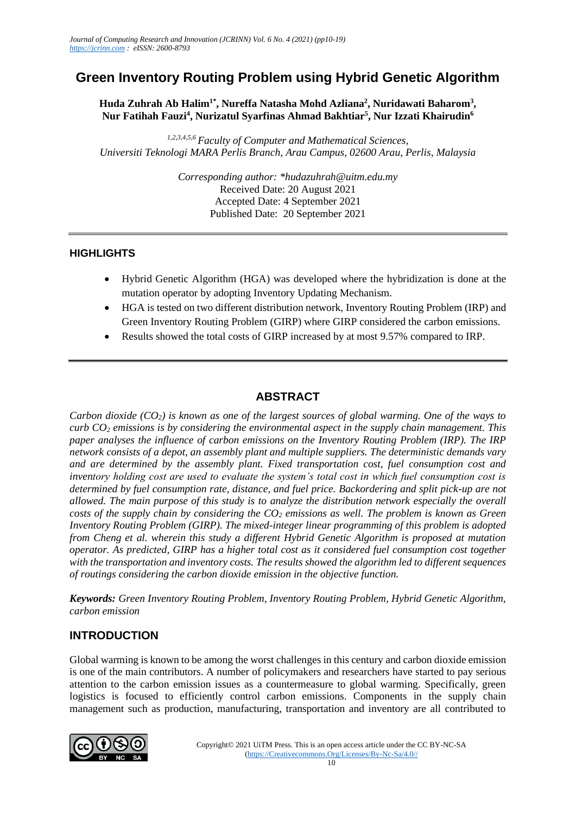# **Green Inventory Routing Problem using Hybrid Genetic Algorithm**

Huda Zuhrah Ab Halim<sup>1\*</sup>, Nureffa Natasha Mohd Azliana<sup>2</sup>, Nuridawati Baharom<sup>3</sup>, **Nur Fatihah Fauzi<sup>4</sup> , Nurizatul Syarfinas Ahmad Bakhtiar<sup>5</sup> , Nur Izzati Khairudin<sup>6</sup>**

*1,2,3,4,5,6 Faculty of Computer and Mathematical Sciences, Universiti Teknologi MARA Perlis Branch, Arau Campus, 02600 Arau, Perlis, Malaysia*

> *Corresponding author: \*hudazuhrah@uitm.edu.my* Received Date: 20 August 2021 Accepted Date: 4 September 2021 Published Date: 20 September 2021

## **HIGHLIGHTS**

- Hybrid Genetic Algorithm (HGA) was developed where the hybridization is done at the mutation operator by adopting Inventory Updating Mechanism.
- HGA is tested on two different distribution network, Inventory Routing Problem (IRP) and Green Inventory Routing Problem (GIRP) where GIRP considered the carbon emissions.
- Results showed the total costs of GIRP increased by at most 9.57% compared to IRP.

# **ABSTRACT**

*Carbon dioxide (CO2) is known as one of the largest sources of global warming. One of the ways to curb CO<sup>2</sup> emissions is by considering the environmental aspect in the supply chain management. This paper analyses the influence of carbon emissions on the Inventory Routing Problem (IRP). The IRP network consists of a depot, an assembly plant and multiple suppliers. The deterministic demands vary and are determined by the assembly plant. Fixed transportation cost, fuel consumption cost and inventory holding cost are used to evaluate the system's total cost in which fuel consumption cost is determined by fuel consumption rate, distance, and fuel price. Backordering and split pick-up are not allowed. The main purpose of this study is to analyze the distribution network especially the overall costs of the supply chain by considering the CO<sup>2</sup> emissions as well. The problem is known as Green Inventory Routing Problem (GIRP). The mixed-integer linear programming of this problem is adopted from Cheng et al. wherein this study a different Hybrid Genetic Algorithm is proposed at mutation operator. As predicted, GIRP has a higher total cost as it considered fuel consumption cost together with the transportation and inventory costs. The results showed the algorithm led to different sequences of routings considering the carbon dioxide emission in the objective function.*

*Keywords: Green Inventory Routing Problem, Inventory Routing Problem, Hybrid Genetic Algorithm, carbon emission*

# **INTRODUCTION**

Global warming is known to be among the worst challenges in this century and carbon dioxide emission is one of the main contributors. A number of policymakers and researchers have started to pay serious attention to the carbon emission issues as a countermeasure to global warming. Specifically, green logistics is focused to efficiently control carbon emissions. Components in the supply chain management such as production, manufacturing, transportation and inventory are all contributed to

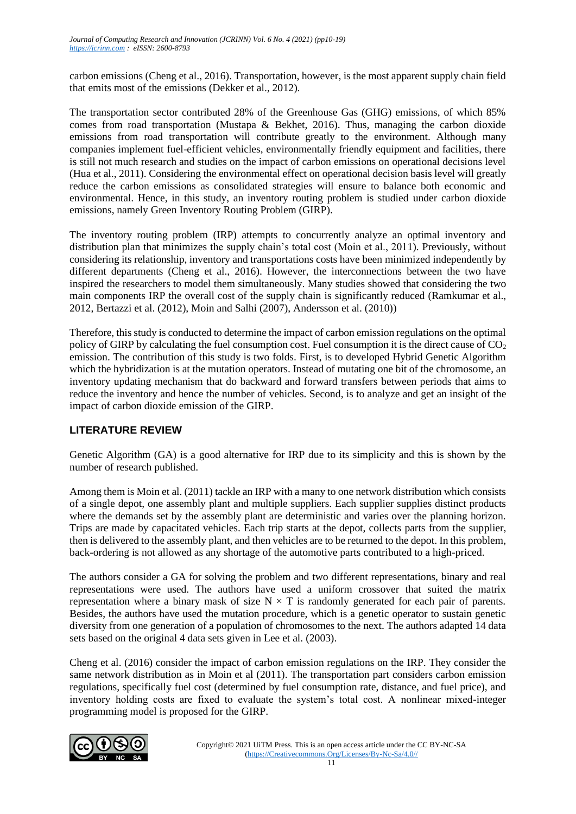carbon emissions (Cheng et al., 2016). Transportation, however, is the most apparent supply chain field that emits most of the emissions (Dekker et al., 2012).

The transportation sector contributed 28% of the Greenhouse Gas (GHG) emissions, of which 85% comes from road transportation (Mustapa & Bekhet, 2016). Thus, managing the carbon dioxide emissions from road transportation will contribute greatly to the environment. Although many companies implement fuel-efficient vehicles, environmentally friendly equipment and facilities, there is still not much research and studies on the impact of carbon emissions on operational decisions level (Hua et al., 2011). Considering the environmental effect on operational decision basis level will greatly reduce the carbon emissions as consolidated strategies will ensure to balance both economic and environmental. Hence, in this study, an inventory routing problem is studied under carbon dioxide emissions, namely Green Inventory Routing Problem (GIRP).

The inventory routing problem (IRP) attempts to concurrently analyze an optimal inventory and distribution plan that minimizes the supply chain's total cost (Moin et al., 2011). Previously, without considering its relationship, inventory and transportations costs have been minimized independently by different departments (Cheng et al., 2016). However, the interconnections between the two have inspired the researchers to model them simultaneously. Many studies showed that considering the two main components IRP the overall cost of the supply chain is significantly reduced (Ramkumar et al., 2012, Bertazzi et al. (2012), Moin and Salhi (2007), Andersson et al. (2010))

Therefore, this study is conducted to determine the impact of carbon emission regulations on the optimal policy of GIRP by calculating the fuel consumption cost. Fuel consumption it is the direct cause of  $CO<sub>2</sub>$ emission. The contribution of this study is two folds. First, is to developed Hybrid Genetic Algorithm which the hybridization is at the mutation operators. Instead of mutating one bit of the chromosome, an inventory updating mechanism that do backward and forward transfers between periods that aims to reduce the inventory and hence the number of vehicles. Second, is to analyze and get an insight of the impact of carbon dioxide emission of the GIRP.

# **LITERATURE REVIEW**

Genetic Algorithm (GA) is a good alternative for IRP due to its simplicity and this is shown by the number of research published.

Among them is Moin et al. (2011) tackle an IRP with a many to one network distribution which consists of a single depot, one assembly plant and multiple suppliers. Each supplier supplies distinct products where the demands set by the assembly plant are deterministic and varies over the planning horizon. Trips are made by capacitated vehicles. Each trip starts at the depot, collects parts from the supplier, then is delivered to the assembly plant, and then vehicles are to be returned to the depot. In this problem, back-ordering is not allowed as any shortage of the automotive parts contributed to a high-priced.

The authors consider a GA for solving the problem and two different representations, binary and real representations were used. The authors have used a uniform crossover that suited the matrix representation where a binary mask of size  $N \times T$  is randomly generated for each pair of parents. Besides, the authors have used the mutation procedure, which is a genetic operator to sustain genetic diversity from one generation of a population of chromosomes to the next. The authors adapted 14 data sets based on the original 4 data sets given in Lee et al. (2003).

Cheng et al. (2016) consider the impact of carbon emission regulations on the IRP. They consider the same network distribution as in Moin et al (2011). The transportation part considers carbon emission regulations, specifically fuel cost (determined by fuel consumption rate, distance, and fuel price), and inventory holding costs are fixed to evaluate the system's total cost. A nonlinear mixed-integer programming model is proposed for the GIRP.

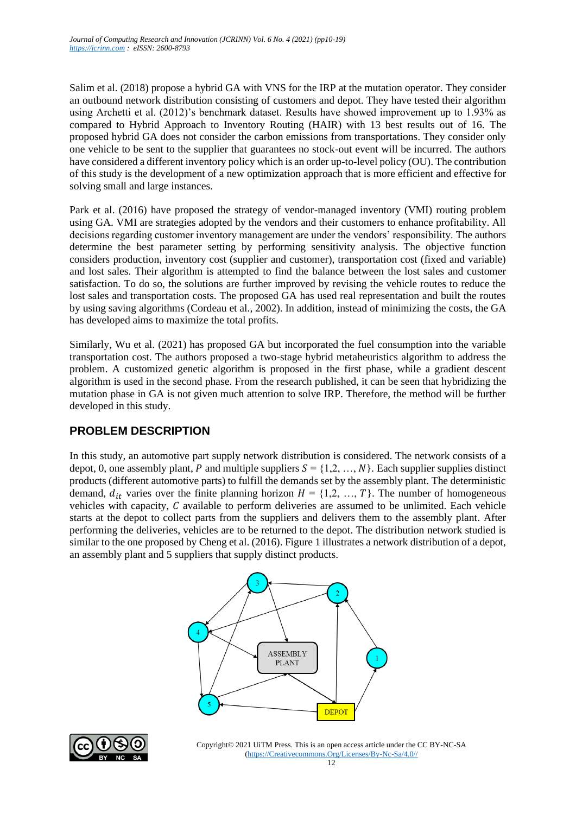Salim et al. (2018) propose a hybrid GA with VNS for the IRP at the mutation operator. They consider an outbound network distribution consisting of customers and depot. They have tested their algorithm using Archetti et al. (2012)'s benchmark dataset. Results have showed improvement up to 1.93% as compared to Hybrid Approach to Inventory Routing (HAIR) with 13 best results out of 16. The proposed hybrid GA does not consider the carbon emissions from transportations. They consider only one vehicle to be sent to the supplier that guarantees no stock-out event will be incurred. The authors have considered a different inventory policy which is an order up-to-level policy (OU). The contribution of this study is the development of a new optimization approach that is more efficient and effective for solving small and large instances.

Park et al. (2016) have proposed the strategy of vendor-managed inventory (VMI) routing problem using GA. VMI are strategies adopted by the vendors and their customers to enhance profitability. All decisions regarding customer inventory management are under the vendors' responsibility. The authors determine the best parameter setting by performing sensitivity analysis. The objective function considers production, inventory cost (supplier and customer), transportation cost (fixed and variable) and lost sales. Their algorithm is attempted to find the balance between the lost sales and customer satisfaction. To do so, the solutions are further improved by revising the vehicle routes to reduce the lost sales and transportation costs. The proposed GA has used real representation and built the routes by using saving algorithms (Cordeau et al., 2002). In addition, instead of minimizing the costs, the GA has developed aims to maximize the total profits.

Similarly, Wu et al. (2021) has proposed GA but incorporated the fuel consumption into the variable transportation cost. The authors proposed a two-stage hybrid metaheuristics algorithm to address the problem. A customized genetic algorithm is proposed in the first phase, while a gradient descent algorithm is used in the second phase. From the research published, it can be seen that hybridizing the mutation phase in GA is not given much attention to solve IRP. Therefore, the method will be further developed in this study.

# **PROBLEM DESCRIPTION**

In this study, an automotive part supply network distribution is considered. The network consists of a depot, 0, one assembly plant, P and multiple suppliers  $S = \{1, 2, ..., N\}$ . Each supplier supplies distinct products (different automotive parts) to fulfill the demands set by the assembly plant. The deterministic demand,  $d_{it}$  varies over the finite planning horizon  $H = \{1, 2, ..., T\}$ . The number of homogeneous vehicles with capacity,  $C$  available to perform deliveries are assumed to be unlimited. Each vehicle starts at the depot to collect parts from the suppliers and delivers them to the assembly plant. After performing the deliveries, vehicles are to be returned to the depot. The distribution network studied is similar to the one proposed by Cheng et al. (2016). Figure 1 illustrates a network distribution of a depot, an assembly plant and 5 suppliers that supply distinct products.



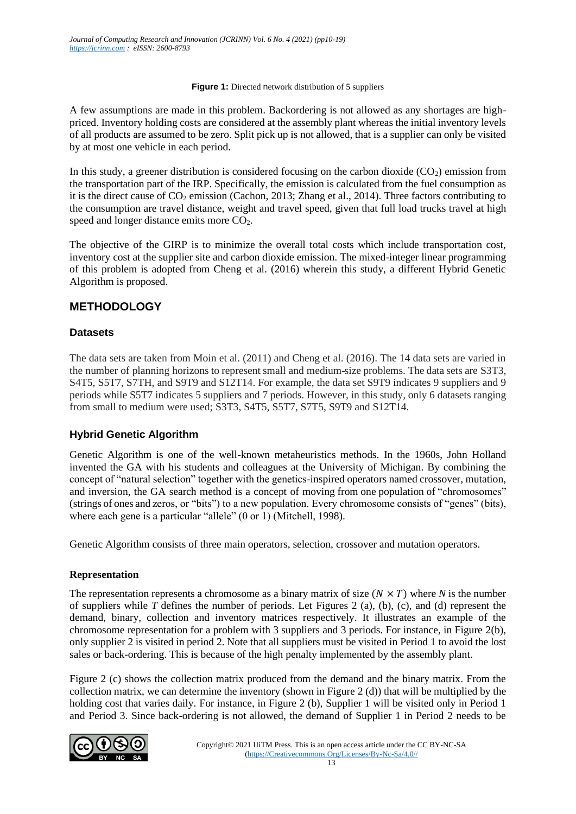#### **Figure 1:** Directed network distribution of 5 suppliers

A few assumptions are made in this problem. Backordering is not allowed as any shortages are highpriced. Inventory holding costs are considered at the assembly plant whereas the initial inventory levels of all products are assumed to be zero. Split pick up is not allowed, that is a supplier can only be visited by at most one vehicle in each period.

In this study, a greener distribution is considered focusing on the carbon dioxide  $(CO<sub>2</sub>)$  emission from the transportation part of the IRP. Specifically, the emission is calculated from the fuel consumption as it is the direct cause of CO<sub>2</sub> emission (Cachon, 2013; Zhang et al., 2014). Three factors contributing to the consumption are travel distance, weight and travel speed, given that full load trucks travel at high speed and longer distance emits more CO<sub>2</sub>.

The objective of the GIRP is to minimize the overall total costs which include transportation cost, inventory cost at the supplier site and carbon dioxide emission. The mixed-integer linear programming of this problem is adopted from Cheng et al. (2016) wherein this study, a different Hybrid Genetic Algorithm is proposed.

# **METHODOLOGY**

## **Datasets**

The data sets are taken from Moin et al. (2011) and Cheng et al. (2016). The 14 data sets are varied in the number of planning horizons to represent small and medium-size problems. The data sets are S3T3, S4T5, S5T7, S7TH, and S9T9 and S12T14. For example, the data set S9T9 indicates 9 suppliers and 9 periods while S5T7 indicates 5 suppliers and 7 periods. However, in this study, only 6 datasets ranging from small to medium were used; S3T3, S4T5, S5T7, S7T5, S9T9 and S12T14.

#### **Hybrid Genetic Algorithm**

Genetic Algorithm is one of the well-known metaheuristics methods. In the 1960s, John Holland invented the GA with his students and colleagues at the University of Michigan. By combining the concept of "natural selection" together with the genetics-inspired operators named crossover, mutation, and inversion, the GA search method is a concept of moving from one population of "chromosomes" (strings of ones and zeros, or "bits") to a new population. Every chromosome consists of "genes" (bits), where each gene is a particular "allele" (0 or 1) (Mitchell, 1998).

Genetic Algorithm consists of three main operators, selection, crossover and mutation operators.

#### **Representation**

The representation represents a chromosome as a binary matrix of size  $(N \times T)$  where *N* is the number of suppliers while *T* defines the number of periods. Let Figures 2 (a), (b), (c), and (d) represent the demand, binary, collection and inventory matrices respectively. It illustrates an example of the chromosome representation for a problem with 3 suppliers and 3 periods. For instance, in Figure 2(b), only supplier 2 is visited in period 2. Note that all suppliers must be visited in Period 1 to avoid the lost sales or back-ordering. This is because of the high penalty implemented by the assembly plant.

Figure 2 (c) shows the collection matrix produced from the demand and the binary matrix. From the collection matrix, we can determine the inventory (shown in Figure 2 (d)) that will be multiplied by the holding cost that varies daily. For instance, in Figure 2 (b), Supplier 1 will be visited only in Period 1 and Period 3. Since back-ordering is not allowed, the demand of Supplier 1 in Period 2 needs to be

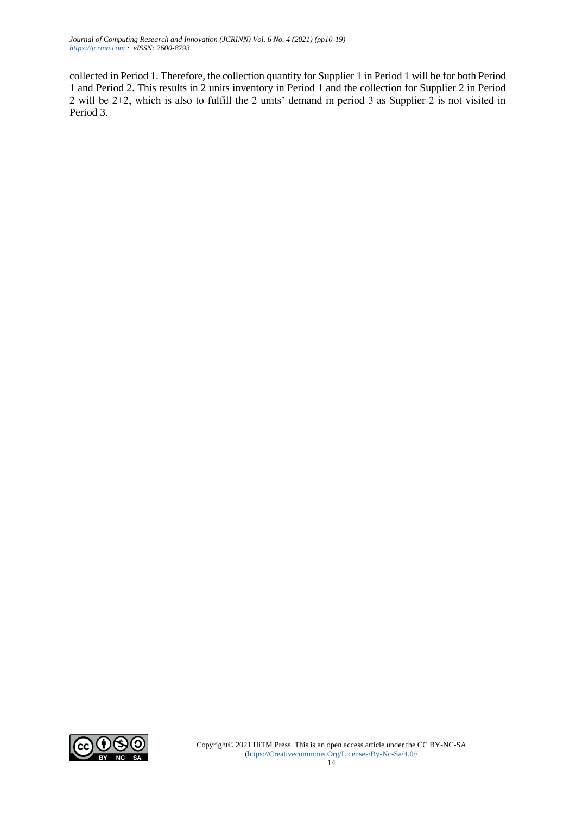*Journal of Computing Research and Innovation (JCRINN) Vol. 6 No. 4 (2021) (pp10-19) [https://jcrinn.com](https://jcrinn.com/) : eISSN: 2600-8793*

collected in Period 1. Therefore, the collection quantity for Supplier 1 in Period 1 will be for both Period 1 and Period 2. This results in 2 units inventory in Period 1 and the collection for Supplier 2 in Period 2 will be 2+2, which is also to fulfill the 2 units' demand in period 3 as Supplier 2 is not visited in Period 3.

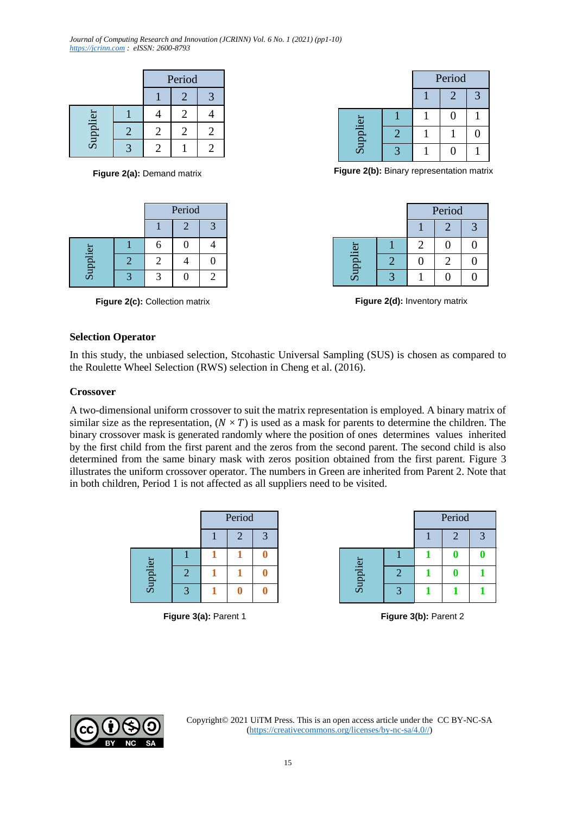*Journal of Computing Research and Innovation (JCRINN) Vol. 6 No. 1 (2021) (pp1-10) [https://jcrinn.com](https://jcrinn.com/) : eISSN: 2600-8793*

|          |               | Period |  |
|----------|---------------|--------|--|
|          |               |        |  |
|          |               |        |  |
| Supplier | $\mathcal{L}$ |        |  |
|          |               |        |  |

|          | Period |  |   |
|----------|--------|--|---|
|          |        |  | っ |
|          |        |  |   |
| Supplier |        |  |   |
|          |        |  |   |

**Figure 2(c):** Collection matrix

|          | Period |                             |  |
|----------|--------|-----------------------------|--|
|          |        | $\mathcal{D}_{\mathcal{A}}$ |  |
|          |        | 0                           |  |
| Supplier |        |                             |  |
|          |        |                             |  |

**Figure 2(a):** Demand matrix **Figure 2(b):** Binary representation matrix

|          | Period |  |  |
|----------|--------|--|--|
|          |        |  |  |
|          |        |  |  |
| Supplier |        |  |  |
|          |        |  |  |

**Figure 2(d):** Inventory matrix

#### **Selection Operator**

In this study, the unbiased selection, Stcohastic Universal Sampling (SUS) is chosen as compared to the Roulette Wheel Selection (RWS) selection in Cheng et al. (2016).

#### **Crossover**

A two-dimensional uniform crossover to suit the matrix representation is employed. A binary matrix of similar size as the representation,  $(N \times T)$  is used as a mask for parents to determine the children. The binary crossover mask is generated randomly where the position of ones determines values inherited by the first child from the first parent and the zeros from the second parent. The second child is also determined from the same binary mask with zeros position obtained from the first parent. Figure 3 illustrates the uniform crossover operator. The numbers in Green are inherited from Parent 2. Note that in both children, Period 1 is not affected as all suppliers need to be visited.

|          |              | Period |  |  |
|----------|--------------|--------|--|--|
|          |              |        |  |  |
|          |              |        |  |  |
| Supplier | 2            |        |  |  |
|          | $\mathbf{z}$ |        |  |  |

|          |                | Period       |  |
|----------|----------------|--------------|--|
|          |                | $\mathbf{2}$ |  |
|          |                |              |  |
| Supplier | $\overline{2}$ |              |  |
|          | $\bullet$      |              |  |

**Figure 3(a):** Parent 1 **Figure 3(b):** Parent 2

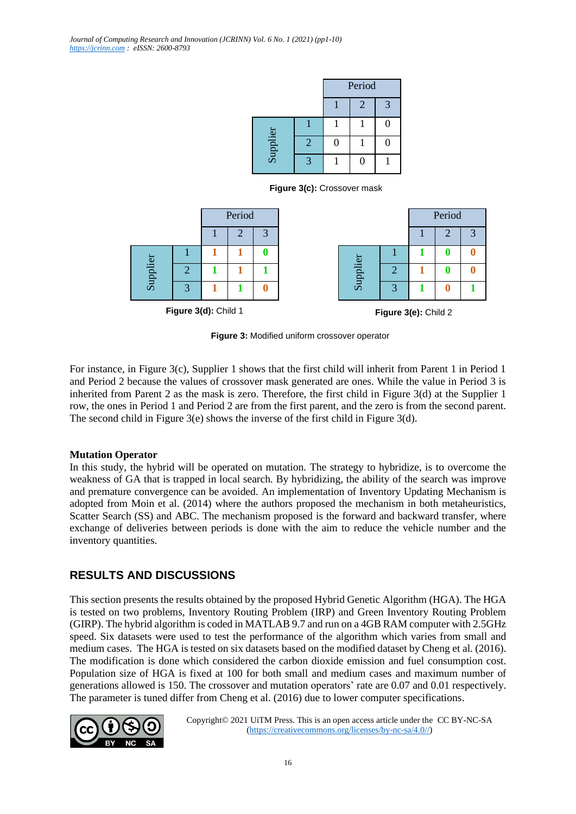|          |                | Period |   |              |
|----------|----------------|--------|---|--------------|
|          |                |        | 2 | $\mathbf{R}$ |
|          |                |        |   |              |
| Supplier | $\overline{2}$ | Π      |   |              |
|          | -2             |        |   |              |

**Figure 3(c):** Crossover mask



**Figure 3:** Modified uniform crossover operator

For instance, in Figure 3(c), Supplier 1 shows that the first child will inherit from Parent 1 in Period 1 and Period 2 because the values of crossover mask generated are ones. While the value in Period 3 is inherited from Parent 2 as the mask is zero. Therefore, the first child in Figure 3(d) at the Supplier 1 row, the ones in Period 1 and Period 2 are from the first parent, and the zero is from the second parent. The second child in Figure  $3(e)$  shows the inverse of the first child in Figure  $3(d)$ .

#### **Mutation Operator**

In this study, the hybrid will be operated on mutation. The strategy to hybridize, is to overcome the weakness of GA that is trapped in local search. By hybridizing, the ability of the search was improve and premature convergence can be avoided. An implementation of Inventory Updating Mechanism is adopted from Moin et al. (2014) where the authors proposed the mechanism in both metaheuristics, Scatter Search (SS) and ABC. The mechanism proposed is the forward and backward transfer, where exchange of deliveries between periods is done with the aim to reduce the vehicle number and the inventory quantities.

# **RESULTS AND DISCUSSIONS**

This section presents the results obtained by the proposed Hybrid Genetic Algorithm (HGA). The HGA is tested on two problems, Inventory Routing Problem (IRP) and Green Inventory Routing Problem (GIRP). The hybrid algorithm is coded in MATLAB 9.7 and run on a 4GB RAM computer with 2.5GHz speed. Six datasets were used to test the performance of the algorithm which varies from small and medium cases. The HGA is tested on six datasets based on the modified dataset by Cheng et al. (2016). The modification is done which considered the carbon dioxide emission and fuel consumption cost. Population size of HGA is fixed at 100 for both small and medium cases and maximum number of generations allowed is 150. The crossover and mutation operators' rate are 0.07 and 0.01 respectively. The parameter is tuned differ from Cheng et al. (2016) due to lower computer specifications.

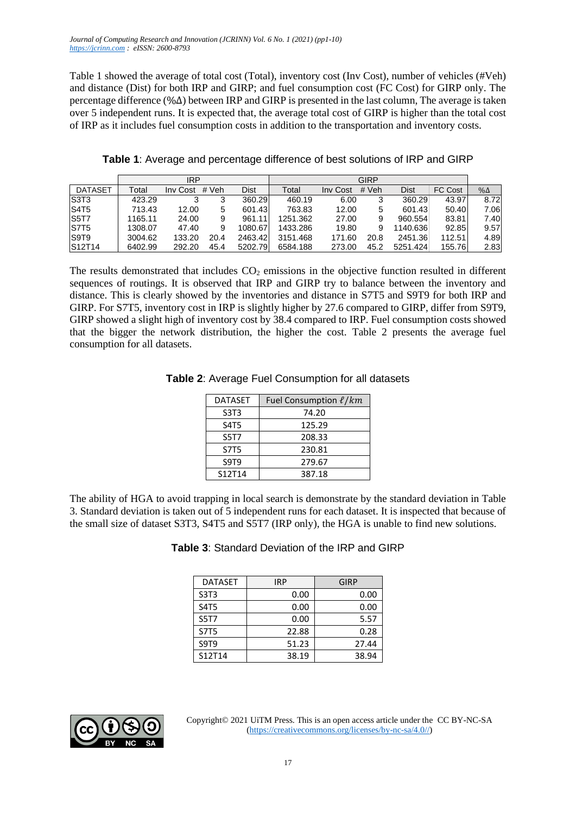Table 1 showed the average of total cost (Total), inventory cost (Inv Cost), number of vehicles (#Veh) and distance (Dist) for both IRP and GIRP; and fuel consumption cost (FC Cost) for GIRP only. The percentage difference (%∆) between IRP and GIRP is presented in the last column, The average is taken over 5 independent runs. It is expected that, the average total cost of GIRP is higher than the total cost of IRP as it includes fuel consumption costs in addition to the transportation and inventory costs.

|  |  |  |  |  |  | Table 1: Average and percentage difference of best solutions of IRP and GIRP |  |
|--|--|--|--|--|--|------------------------------------------------------------------------------|--|
|--|--|--|--|--|--|------------------------------------------------------------------------------|--|

|                  |         | <b>IRP</b> |       |             |          |          | <b>GIRP</b> |          |                |             |
|------------------|---------|------------|-------|-------------|----------|----------|-------------|----------|----------------|-------------|
| <b>DATASET</b>   | Гоtal   | Inv Cost   | # Veh | <b>Dist</b> | Total    | Inv Cost | # Veh       | Dist     | <b>FC Cost</b> | $\% \Delta$ |
| S3T <sub>3</sub> | 423.29  | 3          | 3     | 360.29      | 460.19   | 6.00     | 3           | 360.29   | 43.97          | 8.72        |
| <b>S4T5</b>      | 713.43  | 12.00      | 5     | 601.43      | 763.83   | 12.00    | 5           | 601.43   | 50.40          | 7.06        |
| <b>S5T7</b>      | 1165.11 | 24.00      | 9     | 961.11      | 1251.362 | 27.00    | 9           | 960.554  | 83.81          | 7.40        |
| <b>S7T5</b>      | 1308.07 | 47.40      | 9     | 1080.67     | 1433.286 | 19.80    | 9           | 1140.636 | 92.85          | 9.57        |
| S9T <sub>9</sub> | 3004.62 | 133.20     | 20.4  | 2463.42     | 3151.468 | 171.60   | 20.8        | 2451.36  | 112.51         | 4.89        |
| S12T14           | 6402.99 | 292.20     | 45.4  | 5202.79     | 6584.188 | 273.00   | 45.2        | 5251.424 | 155.76         | 2.83        |

The results demonstrated that includes  $CO<sub>2</sub>$  emissions in the objective function resulted in different sequences of routings. It is observed that IRP and GIRP try to balance between the inventory and distance. This is clearly showed by the inventories and distance in S7T5 and S9T9 for both IRP and GIRP. For S7T5, inventory cost in IRP is slightly higher by 27.6 compared to GIRP, differ from S9T9, GIRP showed a slight high of inventory cost by 38.4 compared to IRP. Fuel consumption costs showed that the bigger the network distribution, the higher the cost. Table 2 presents the average fuel consumption for all datasets.

| <b>DATASET</b>                | Fuel Consumption $\ell/km$ |
|-------------------------------|----------------------------|
| S <sub>3</sub> T <sub>3</sub> | 74.20                      |
| S4T5                          | 125.29                     |
| <b>S5T7</b>                   | 208.33                     |
| <b>S7T5</b>                   | 230.81                     |
| S9T9                          | 279.67                     |
| S12T14                        | 387.18                     |

#### **Table 2**: Average Fuel Consumption for all datasets

The ability of HGA to avoid trapping in local search is demonstrate by the standard deviation in Table 3. Standard deviation is taken out of 5 independent runs for each dataset. It is inspected that because of the small size of dataset S3T3, S4T5 and S5T7 (IRP only), the HGA is unable to find new solutions.

**Table 3**: Standard Deviation of the IRP and GIRP

| <b>DATASET</b> | <b>IRP</b> | <b>GIRP</b> |
|----------------|------------|-------------|
| S3T3           | 0.00       | 0.00        |
| S4T5           | 0.00       | 0.00        |
| <b>S5T7</b>    | 0.00       | 5.57        |
| <b>S7T5</b>    | 22.88      | 0.28        |
| S9T9           | 51.23      | 27.44       |
| S12T14         | 38.19      | 38.94       |

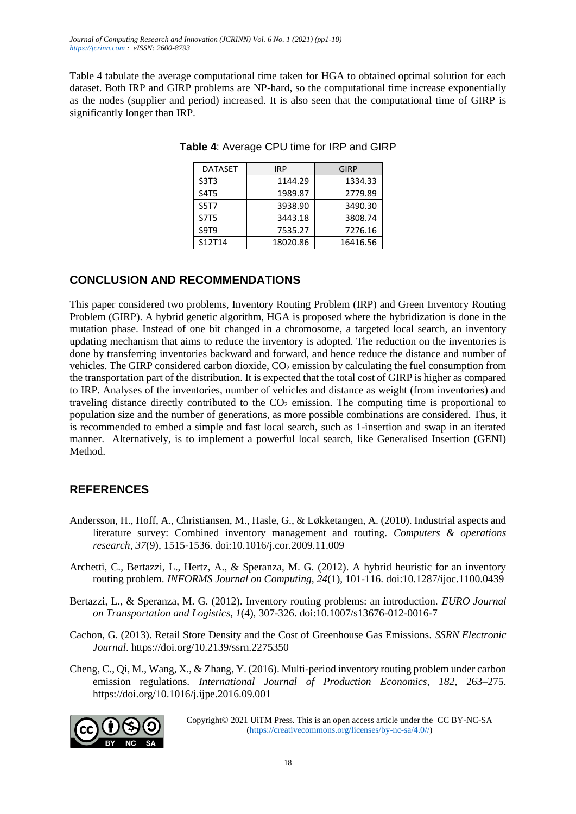*Journal of Computing Research and Innovation (JCRINN) Vol. 6 No. 1 (2021) (pp1-10) [https://jcrinn.com](https://jcrinn.com/) : eISSN: 2600-8793*

Table 4 tabulate the average computational time taken for HGA to obtained optimal solution for each dataset. Both IRP and GIRP problems are NP-hard, so the computational time increase exponentially as the nodes (supplier and period) increased. It is also seen that the computational time of GIRP is significantly longer than IRP.

| <b>DATASET</b> | <b>IRP</b> | GIRP     |
|----------------|------------|----------|
| S3T3           | 1144.29    | 1334.33  |
| S4T5           | 1989.87    | 2779.89  |
| S5T7           | 3938.90    | 3490.30  |
| S7T5           | 3443.18    | 3808.74  |
| S9T9           | 7535.27    | 7276.16  |
| S12T14         | 18020.86   | 16416.56 |

**Table 4**: Average CPU time for IRP and GIRP

## **CONCLUSION AND RECOMMENDATIONS**

This paper considered two problems, Inventory Routing Problem (IRP) and Green Inventory Routing Problem (GIRP). A hybrid genetic algorithm, HGA is proposed where the hybridization is done in the mutation phase. Instead of one bit changed in a chromosome, a targeted local search, an inventory updating mechanism that aims to reduce the inventory is adopted. The reduction on the inventories is done by transferring inventories backward and forward, and hence reduce the distance and number of vehicles. The GIRP considered carbon dioxide,  $CO<sub>2</sub>$  emission by calculating the fuel consumption from the transportation part of the distribution. It is expected that the total cost of GIRP is higher as compared to IRP. Analyses of the inventories, number of vehicles and distance as weight (from inventories) and traveling distance directly contributed to the  $CO<sub>2</sub>$  emission. The computing time is proportional to population size and the number of generations, as more possible combinations are considered. Thus, it is recommended to embed a simple and fast local search, such as 1-insertion and swap in an iterated manner. Alternatively, is to implement a powerful local search, like Generalised Insertion (GENI) Method.

# **REFERENCES**

- Andersson, H., Hoff, A., Christiansen, M., Hasle, G., & Løkketangen, A. (2010). Industrial aspects and literature survey: Combined inventory management and routing. *Computers & operations research, 37*(9), 1515-1536. doi:10.1016/j.cor.2009.11.009
- Archetti, C., Bertazzi, L., Hertz, A., & Speranza, M. G. (2012). A hybrid heuristic for an inventory routing problem. *INFORMS Journal on Computing, 24*(1), 101-116. doi:10.1287/ijoc.1100.0439
- Bertazzi, L., & Speranza, M. G. (2012). Inventory routing problems: an introduction. *EURO Journal on Transportation and Logistics, 1*(4), 307-326. doi:10.1007/s13676-012-0016-7
- Cachon, G. (2013). Retail Store Density and the Cost of Greenhouse Gas Emissions. *SSRN Electronic Journal*. https://doi.org/10.2139/ssrn.2275350
- Cheng, C., Qi, M., Wang, X., & Zhang, Y. (2016). Multi-period inventory routing problem under carbon emission regulations. *International Journal of Production Economics*, *182*, 263–275. https://doi.org/10.1016/j.ijpe.2016.09.001